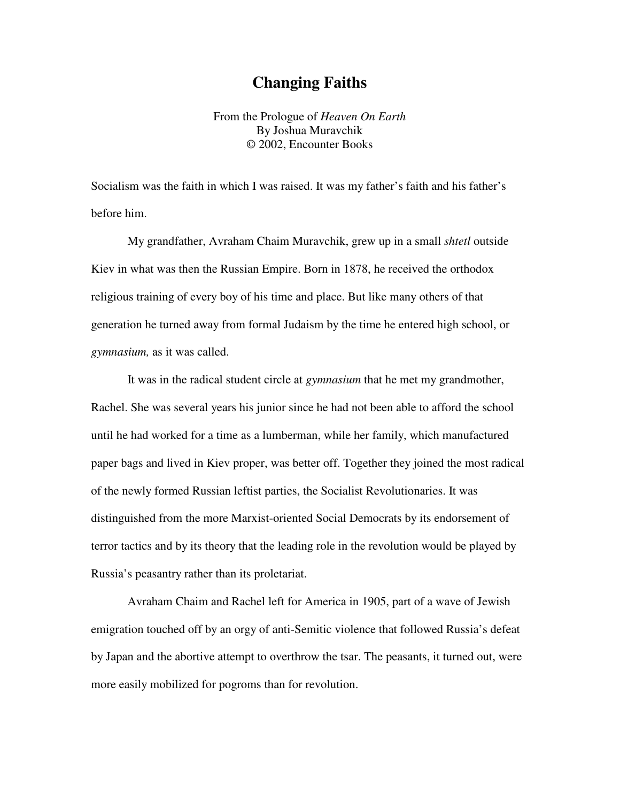## **Changing Faiths**

From the Prologue of *Heaven On Earth* By Joshua Muravchik © 2002, Encounter Books

Socialism was the faith in which I was raised. It was my father's faith and his father's before him.

My grandfather, Avraham Chaim Muravchik, grew up in a small *shtetl* outside Kiev in what was then the Russian Empire. Born in 1878, he received the orthodox religious training of every boy of his time and place. But like many others of that generation he turned away from formal Judaism by the time he entered high school, or *gymnasium,* as it was called.

It was in the radical student circle at *gymnasium* that he met my grandmother, Rachel. She was several years his junior since he had not been able to afford the school until he had worked for a time as a lumberman, while her family, which manufactured paper bags and lived in Kiev proper, was better off. Together they joined the most radical of the newly formed Russian leftist parties, the Socialist Revolutionaries. It was distinguished from the more Marxist-oriented Social Democrats by its endorsement of terror tactics and by its theory that the leading role in the revolution would be played by Russia's peasantry rather than its proletariat.

Avraham Chaim and Rachel left for America in 1905, part of a wave of Jewish emigration touched off by an orgy of anti-Semitic violence that followed Russia's defeat by Japan and the abortive attempt to overthrow the tsar. The peasants, it turned out, were more easily mobilized for pogroms than for revolution.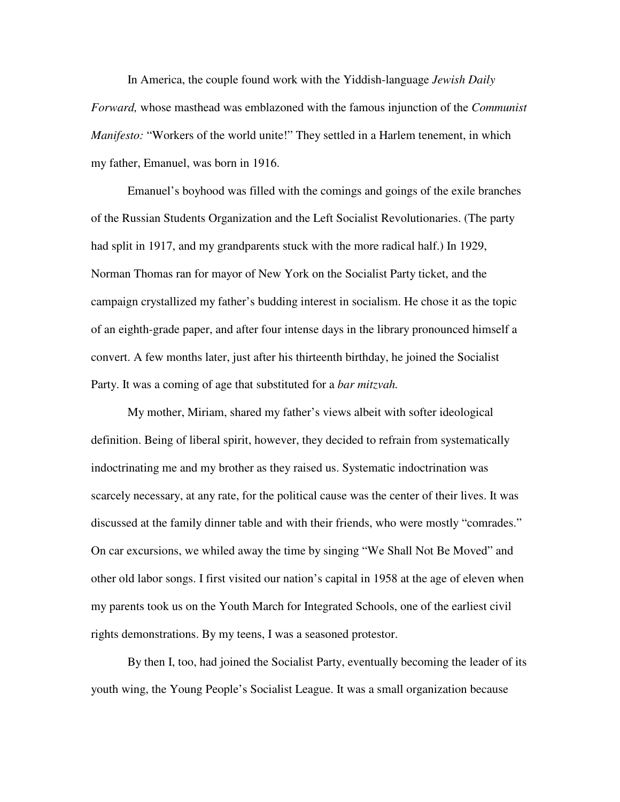In America, the couple found work with the Yiddish-language *Jewish Daily Forward,* whose masthead was emblazoned with the famous injunction of the *Communist Manifesto:* "Workers of the world unite!" They settled in a Harlem tenement, in which my father, Emanuel, was born in 1916.

Emanuel's boyhood was filled with the comings and goings of the exile branches of the Russian Students Organization and the Left Socialist Revolutionaries. (The party had split in 1917, and my grandparents stuck with the more radical half.) In 1929, Norman Thomas ran for mayor of New York on the Socialist Party ticket, and the campaign crystallized my father's budding interest in socialism. He chose it as the topic of an eighth-grade paper, and after four intense days in the library pronounced himself a convert. A few months later, just after his thirteenth birthday, he joined the Socialist Party. It was a coming of age that substituted for a *bar mitzvah.*

My mother, Miriam, shared my father's views albeit with softer ideological definition. Being of liberal spirit, however, they decided to refrain from systematically indoctrinating me and my brother as they raised us. Systematic indoctrination was scarcely necessary, at any rate, for the political cause was the center of their lives. It was discussed at the family dinner table and with their friends, who were mostly "comrades." On car excursions, we whiled away the time by singing "We Shall Not Be Moved" and other old labor songs. I first visited our nation's capital in 1958 at the age of eleven when my parents took us on the Youth March for Integrated Schools, one of the earliest civil rights demonstrations. By my teens, I was a seasoned protestor.

By then I, too, had joined the Socialist Party, eventually becoming the leader of its youth wing, the Young People's Socialist League. It was a small organization because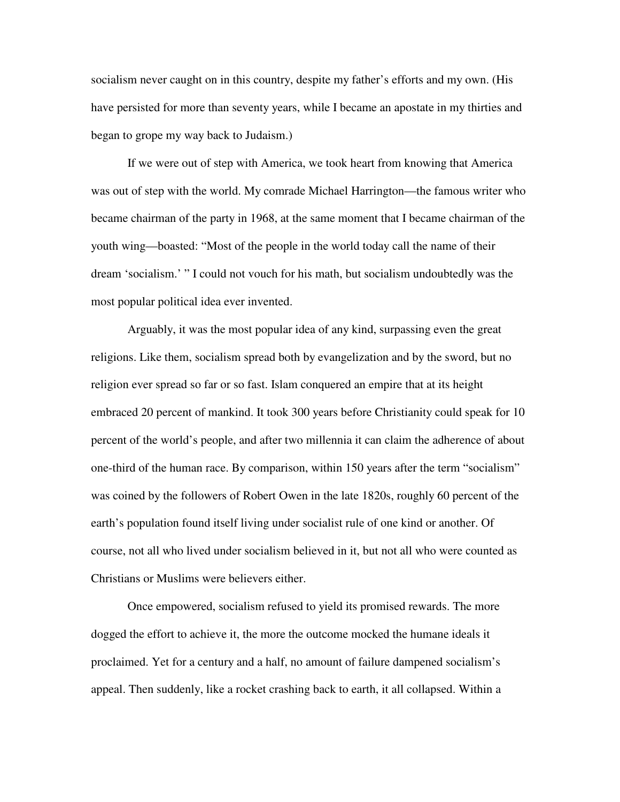socialism never caught on in this country, despite my father's efforts and my own. (His have persisted for more than seventy years, while I became an apostate in my thirties and began to grope my way back to Judaism.)

If we were out of step with America, we took heart from knowing that America was out of step with the world. My comrade Michael Harrington—the famous writer who became chairman of the party in 1968, at the same moment that I became chairman of the youth wing—boasted: "Most of the people in the world today call the name of their dream 'socialism.' " I could not vouch for his math, but socialism undoubtedly was the most popular political idea ever invented.

Arguably, it was the most popular idea of any kind, surpassing even the great religions. Like them, socialism spread both by evangelization and by the sword, but no religion ever spread so far or so fast. Islam conquered an empire that at its height embraced 20 percent of mankind. It took 300 years before Christianity could speak for 10 percent of the world's people, and after two millennia it can claim the adherence of about one-third of the human race. By comparison, within 150 years after the term "socialism" was coined by the followers of Robert Owen in the late 1820s, roughly 60 percent of the earth's population found itself living under socialist rule of one kind or another. Of course, not all who lived under socialism believed in it, but not all who were counted as Christians or Muslims were believers either.

Once empowered, socialism refused to yield its promised rewards. The more dogged the effort to achieve it, the more the outcome mocked the humane ideals it proclaimed. Yet for a century and a half, no amount of failure dampened socialism's appeal. Then suddenly, like a rocket crashing back to earth, it all collapsed. Within a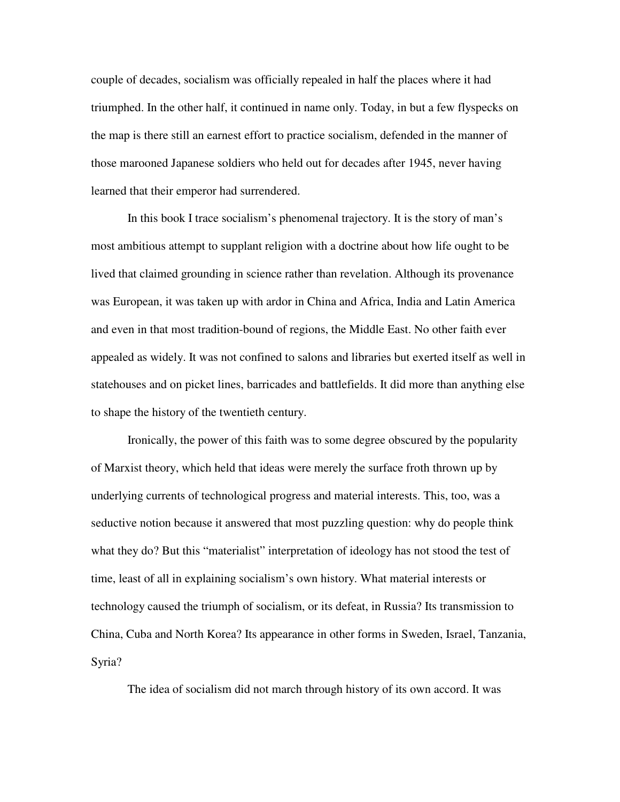couple of decades, socialism was officially repealed in half the places where it had triumphed. In the other half, it continued in name only. Today, in but a few flyspecks on the map is there still an earnest effort to practice socialism, defended in the manner of those marooned Japanese soldiers who held out for decades after 1945, never having learned that their emperor had surrendered.

In this book I trace socialism's phenomenal trajectory. It is the story of man's most ambitious attempt to supplant religion with a doctrine about how life ought to be lived that claimed grounding in science rather than revelation. Although its provenance was European, it was taken up with ardor in China and Africa, India and Latin America and even in that most tradition-bound of regions, the Middle East. No other faith ever appealed as widely. It was not confined to salons and libraries but exerted itself as well in statehouses and on picket lines, barricades and battlefields. It did more than anything else to shape the history of the twentieth century.

Ironically, the power of this faith was to some degree obscured by the popularity of Marxist theory, which held that ideas were merely the surface froth thrown up by underlying currents of technological progress and material interests. This, too, was a seductive notion because it answered that most puzzling question: why do people think what they do? But this "materialist" interpretation of ideology has not stood the test of time, least of all in explaining socialism's own history. What material interests or technology caused the triumph of socialism, or its defeat, in Russia? Its transmission to China, Cuba and North Korea? Its appearance in other forms in Sweden, Israel, Tanzania, Syria?

The idea of socialism did not march through history of its own accord. It was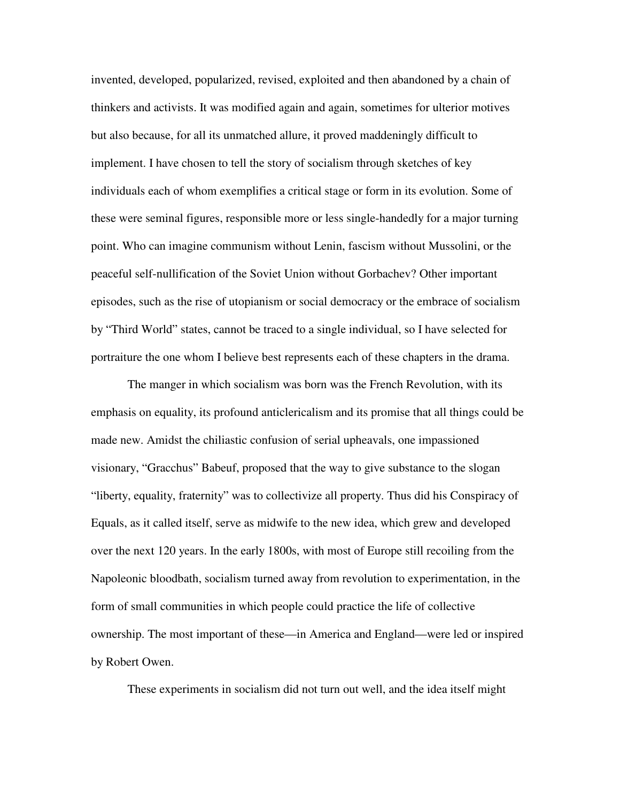invented, developed, popularized, revised, exploited and then abandoned by a chain of thinkers and activists. It was modified again and again, sometimes for ulterior motives but also because, for all its unmatched allure, it proved maddeningly difficult to implement. I have chosen to tell the story of socialism through sketches of key individuals each of whom exemplifies a critical stage or form in its evolution. Some of these were seminal figures, responsible more or less single-handedly for a major turning point. Who can imagine communism without Lenin, fascism without Mussolini, or the peaceful self-nullification of the Soviet Union without Gorbachev? Other important episodes, such as the rise of utopianism or social democracy or the embrace of socialism by "Third World" states, cannot be traced to a single individual, so I have selected for portraiture the one whom I believe best represents each of these chapters in the drama.

The manger in which socialism was born was the French Revolution, with its emphasis on equality, its profound anticlericalism and its promise that all things could be made new. Amidst the chiliastic confusion of serial upheavals, one impassioned visionary, "Gracchus" Babeuf, proposed that the way to give substance to the slogan "liberty, equality, fraternity" was to collectivize all property. Thus did his Conspiracy of Equals, as it called itself, serve as midwife to the new idea, which grew and developed over the next 120 years. In the early 1800s, with most of Europe still recoiling from the Napoleonic bloodbath, socialism turned away from revolution to experimentation, in the form of small communities in which people could practice the life of collective ownership. The most important of these—in America and England—were led or inspired by Robert Owen.

These experiments in socialism did not turn out well, and the idea itself might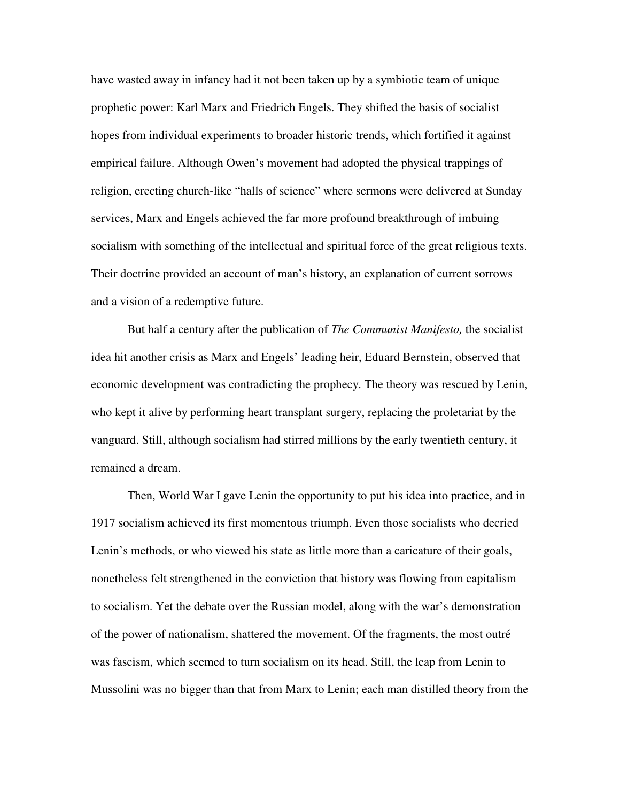have wasted away in infancy had it not been taken up by a symbiotic team of unique prophetic power: Karl Marx and Friedrich Engels. They shifted the basis of socialist hopes from individual experiments to broader historic trends, which fortified it against empirical failure. Although Owen's movement had adopted the physical trappings of religion, erecting church-like "halls of science" where sermons were delivered at Sunday services, Marx and Engels achieved the far more profound breakthrough of imbuing socialism with something of the intellectual and spiritual force of the great religious texts. Their doctrine provided an account of man's history, an explanation of current sorrows and a vision of a redemptive future.

But half a century after the publication of *The Communist Manifesto,* the socialist idea hit another crisis as Marx and Engels' leading heir, Eduard Bernstein, observed that economic development was contradicting the prophecy. The theory was rescued by Lenin, who kept it alive by performing heart transplant surgery, replacing the proletariat by the vanguard. Still, although socialism had stirred millions by the early twentieth century, it remained a dream.

Then, World War I gave Lenin the opportunity to put his idea into practice, and in 1917 socialism achieved its first momentous triumph. Even those socialists who decried Lenin's methods, or who viewed his state as little more than a caricature of their goals, nonetheless felt strengthened in the conviction that history was flowing from capitalism to socialism. Yet the debate over the Russian model, along with the war's demonstration of the power of nationalism, shattered the movement. Of the fragments, the most outré was fascism, which seemed to turn socialism on its head. Still, the leap from Lenin to Mussolini was no bigger than that from Marx to Lenin; each man distilled theory from the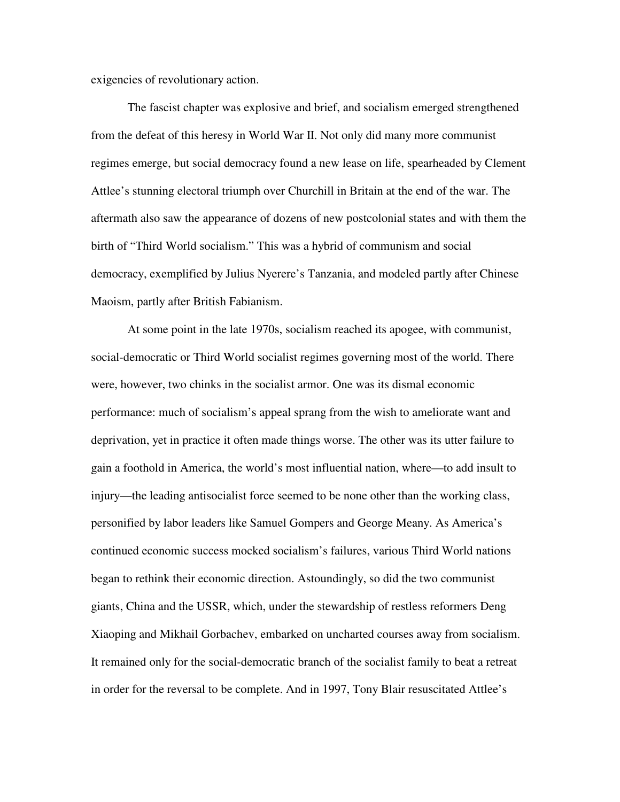exigencies of revolutionary action.

The fascist chapter was explosive and brief, and socialism emerged strengthened from the defeat of this heresy in World War II. Not only did many more communist regimes emerge, but social democracy found a new lease on life, spearheaded by Clement Attlee's stunning electoral triumph over Churchill in Britain at the end of the war. The aftermath also saw the appearance of dozens of new postcolonial states and with them the birth of "Third World socialism." This was a hybrid of communism and social democracy, exemplified by Julius Nyerere's Tanzania, and modeled partly after Chinese Maoism, partly after British Fabianism.

At some point in the late 1970s, socialism reached its apogee, with communist, social-democratic or Third World socialist regimes governing most of the world. There were, however, two chinks in the socialist armor. One was its dismal economic performance: much of socialism's appeal sprang from the wish to ameliorate want and deprivation, yet in practice it often made things worse. The other was its utter failure to gain a foothold in America, the world's most influential nation, where—to add insult to injury—the leading antisocialist force seemed to be none other than the working class, personified by labor leaders like Samuel Gompers and George Meany. As America's continued economic success mocked socialism's failures, various Third World nations began to rethink their economic direction. Astoundingly, so did the two communist giants, China and the USSR, which, under the stewardship of restless reformers Deng Xiaoping and Mikhail Gorbachev, embarked on uncharted courses away from socialism. It remained only for the social-democratic branch of the socialist family to beat a retreat in order for the reversal to be complete. And in 1997, Tony Blair resuscitated Attlee's